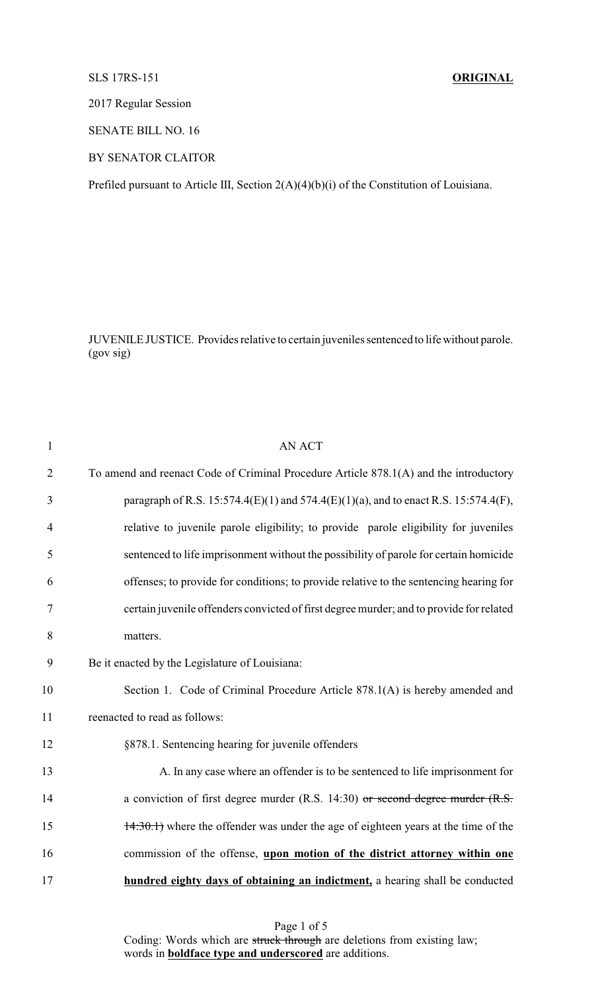## SLS 17RS-151 **ORIGINAL**

2017 Regular Session

SENATE BILL NO. 16

BY SENATOR CLAITOR

Prefiled pursuant to Article III, Section 2(A)(4)(b)(i) of the Constitution of Louisiana.

JUVENILE JUSTICE. Provides relative to certain juveniles sentenced to life without parole. (gov sig)

| $\mathbf{1}$   | <b>AN ACT</b>                                                                           |
|----------------|-----------------------------------------------------------------------------------------|
| $\overline{2}$ | To amend and reenact Code of Criminal Procedure Article 878.1(A) and the introductory   |
| 3              | paragraph of R.S. 15:574.4(E)(1) and 574.4(E)(1)(a), and to enact R.S. 15:574.4(F),     |
| 4              | relative to juvenile parole eligibility; to provide parole eligibility for juveniles    |
| 5              | sentenced to life imprisonment without the possibility of parole for certain homicide   |
| 6              | offenses; to provide for conditions; to provide relative to the sentencing hearing for  |
| 7              | certain juvenile offenders convicted of first degree murder; and to provide for related |
| 8              | matters.                                                                                |
| 9              | Be it enacted by the Legislature of Louisiana:                                          |
| 10             | Section 1. Code of Criminal Procedure Article 878.1(A) is hereby amended and            |
| 11             | reenacted to read as follows:                                                           |
| 12             | §878.1. Sentencing hearing for juvenile offenders                                       |
| 13             | A. In any case where an offender is to be sentenced to life imprisonment for            |
| 14             | a conviction of first degree murder (R.S. 14:30) or second degree murder $(R.S. 14:30)$ |
| 15             | 14:30.1) where the offender was under the age of eighteen years at the time of the      |
| 16             | commission of the offense, upon motion of the district attorney within one              |
| 17             | hundred eighty days of obtaining an indictment, a hearing shall be conducted            |
|                |                                                                                         |

Page 1 of 5 Coding: Words which are struck through are deletions from existing law; words in **boldface type and underscored** are additions.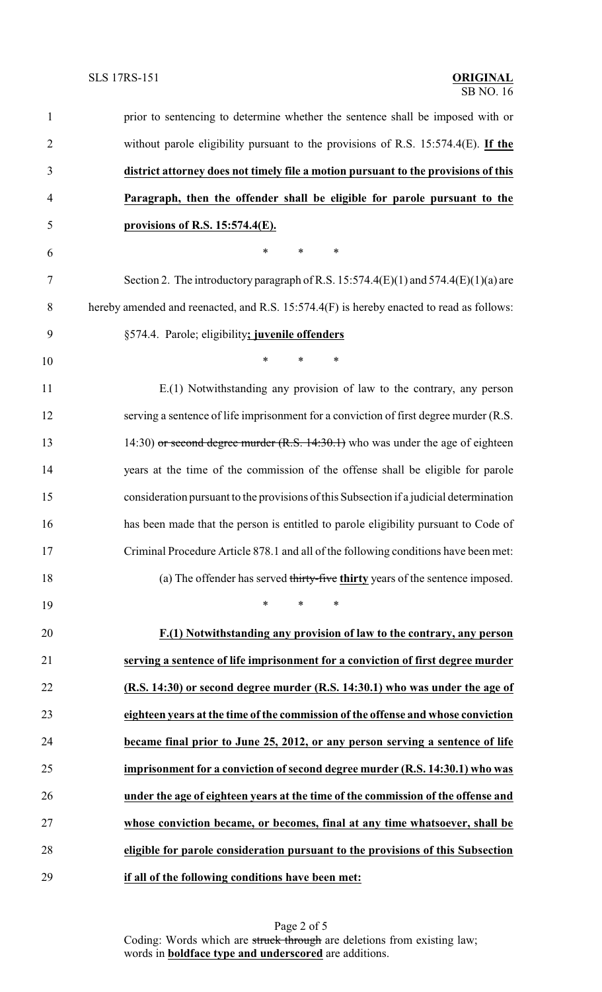| 1              | prior to sentencing to determine whether the sentence shall be imposed with or           |
|----------------|------------------------------------------------------------------------------------------|
| $\overline{c}$ | without parole eligibility pursuant to the provisions of R.S. $15:574.4(E)$ . If the     |
| 3              | district attorney does not timely file a motion pursuant to the provisions of this       |
| $\overline{4}$ | Paragraph, then the offender shall be eligible for parole pursuant to the                |
| 5              | provisions of R.S. 15:574.4(E).                                                          |
| 6              | $\ast$<br>$\ast$<br>∗                                                                    |
| $\tau$         | Section 2. The introductory paragraph of R.S. 15:574.4(E)(1) and $574.4(E)(1)(a)$ are    |
| 8              | hereby amended and reenacted, and R.S. 15:574.4(F) is hereby enacted to read as follows: |
| 9              | §574.4. Parole; eligibility; juvenile offenders                                          |
| 10             | $\ast$<br>*<br>*                                                                         |
| 11             | E.(1) Notwithstanding any provision of law to the contrary, any person                   |
| 12             | serving a sentence of life imprisonment for a conviction of first degree murder (R.S.    |
| 13             | 14:30) or second degree murder $(R.S. 14:30.1)$ who was under the age of eighteen        |
| 14             | years at the time of the commission of the offense shall be eligible for parole          |
| 15             | consideration pursuant to the provisions of this Subsection if a judicial determination  |
| 16             | has been made that the person is entitled to parole eligibility pursuant to Code of      |
| 17             | Criminal Procedure Article 878.1 and all of the following conditions have been met:      |
| 18             | (a) The offender has served thirty-five thirty years of the sentence imposed.            |
| 19             | $\ast$<br>$\ast$<br>$\ast$                                                               |
| 20             | F.(1) Notwithstanding any provision of law to the contrary, any person                   |
| 21             | serving a sentence of life imprisonment for a conviction of first degree murder          |
| 22             | (R.S. 14:30) or second degree murder (R.S. 14:30.1) who was under the age of             |
| 23             | eighteen years at the time of the commission of the offense and whose conviction         |
| 24             | became final prior to June 25, 2012, or any person serving a sentence of life            |
| 25             | imprisonment for a conviction of second degree murder (R.S. 14:30.1) who was             |
| 26             | under the age of eighteen years at the time of the commission of the offense and         |
| 27             | whose conviction became, or becomes, final at any time whatsoever, shall be              |
| 28             | eligible for parole consideration pursuant to the provisions of this Subsection          |
| 29             | if all of the following conditions have been met:                                        |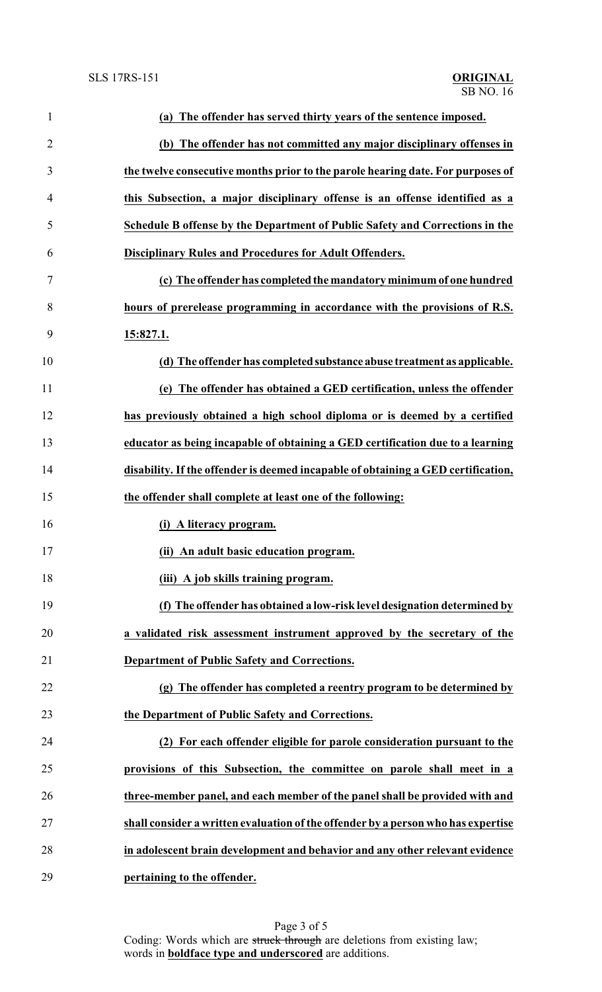| $\mathbf{1}$   | (a) The offender has served thirty years of the sentence imposed.                 |
|----------------|-----------------------------------------------------------------------------------|
| $\overline{2}$ | (b) The offender has not committed any major disciplinary offenses in             |
| 3              | the twelve consecutive months prior to the parole hearing date. For purposes of   |
| 4              | this Subsection, a major disciplinary offense is an offense identified as a       |
| 5              | Schedule B offense by the Department of Public Safety and Corrections in the      |
| 6              | <b>Disciplinary Rules and Procedures for Adult Offenders.</b>                     |
| 7              | (c) The offender has completed the mandatory minimum of one hundred               |
| 8              | hours of prerelease programming in accordance with the provisions of R.S.         |
| 9              | 15:827.1.                                                                         |
| 10             | (d) The offender has completed substance abuse treatment as applicable.           |
| 11             | (e) The offender has obtained a GED certification, unless the offender            |
| 12             | has previously obtained a high school diploma or is deemed by a certified         |
| 13             | educator as being incapable of obtaining a GED certification due to a learning    |
| 14             | disability. If the offender is deemed incapable of obtaining a GED certification, |
| 15             | the offender shall complete at least one of the following:                        |
| 16             | (i) A literacy program.                                                           |
| 17             | (ii) An adult basic education program.                                            |
| 18             | (iii) A job skills training program.                                              |
| 19             | (f) The offender has obtained a low-risk level designation determined by          |
| 20             | a validated risk assessment instrument approved by the secretary of the           |
| 21             | Department of Public Safety and Corrections.                                      |
| 22             | (g) The offender has completed a reentry program to be determined by              |
| 23             | the Department of Public Safety and Corrections.                                  |
| 24             | (2) For each offender eligible for parole consideration pursuant to the           |
| 25             | provisions of this Subsection, the committee on parole shall meet in a            |
| 26             | three-member panel, and each member of the panel shall be provided with and       |
| 27             | shall consider a written evaluation of the offender by a person who has expertise |
| 28             | in adolescent brain development and behavior and any other relevant evidence      |
| 29             | pertaining to the offender.                                                       |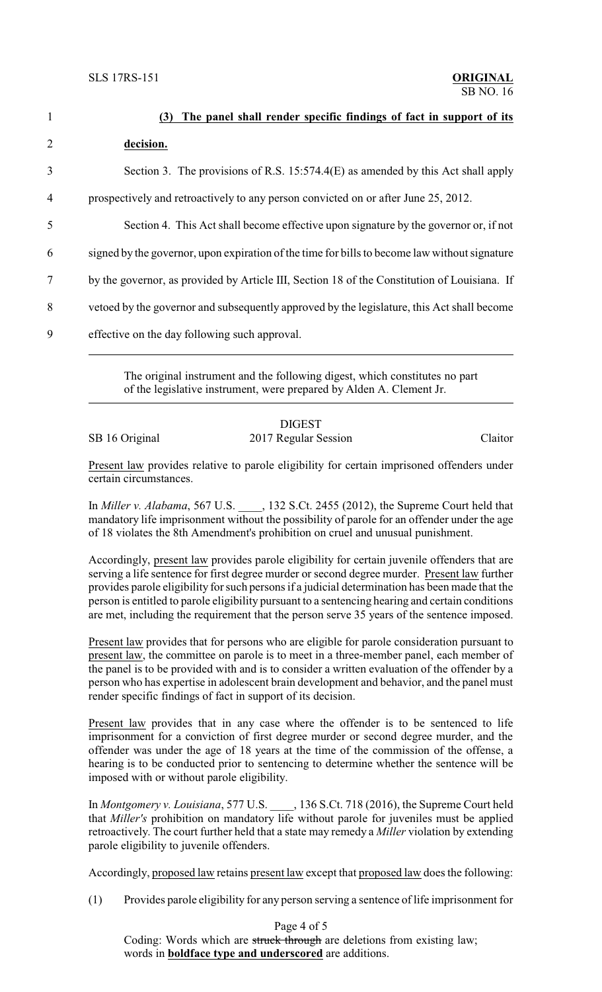| $\mathbf{1}$   | The panel shall render specific findings of fact in support of its<br>(3)                     |
|----------------|-----------------------------------------------------------------------------------------------|
| $\overline{2}$ | decision.                                                                                     |
| 3              | Section 3. The provisions of R.S. 15:574.4(E) as amended by this Act shall apply              |
| 4              | prospectively and retroactively to any person convicted on or after June 25, 2012.            |
| 5              | Section 4. This Act shall become effective upon signature by the governor or, if not          |
| 6              | signed by the governor, upon expiration of the time for bills to become law without signature |
| 7              | by the governor, as provided by Article III, Section 18 of the Constitution of Louisiana. If  |
| 8              | vetoed by the governor and subsequently approved by the legislature, this Act shall become    |
| 9              | effective on the day following such approval.                                                 |
|                |                                                                                               |

The original instrument and the following digest, which constitutes no part of the legislative instrument, were prepared by Alden A. Clement Jr.

## DIGEST

SB 16 Original 2017 Regular Session Claitor

Present law provides relative to parole eligibility for certain imprisoned offenders under certain circumstances.

In *Miller v. Alabama*, 567 U.S. \_\_\_\_, 132 S.Ct. 2455 (2012), the Supreme Court held that mandatory life imprisonment without the possibility of parole for an offender under the age of 18 violates the 8th Amendment's prohibition on cruel and unusual punishment.

Accordingly, present law provides parole eligibility for certain juvenile offenders that are serving a life sentence for first degree murder or second degree murder. Present law further provides parole eligibility for such persons if a judicial determination has been made that the person is entitled to parole eligibility pursuant to a sentencing hearing and certain conditions are met, including the requirement that the person serve 35 years of the sentence imposed.

Present law provides that for persons who are eligible for parole consideration pursuant to present law, the committee on parole is to meet in a three-member panel, each member of the panel is to be provided with and is to consider a written evaluation of the offender by a person who has expertise in adolescent brain development and behavior, and the panel must render specific findings of fact in support of its decision.

Present law provides that in any case where the offender is to be sentenced to life imprisonment for a conviction of first degree murder or second degree murder, and the offender was under the age of 18 years at the time of the commission of the offense, a hearing is to be conducted prior to sentencing to determine whether the sentence will be imposed with or without parole eligibility.

In *Montgomery v. Louisiana*, 577 U.S. \_\_\_\_, 136 S.Ct. 718 (2016), the Supreme Court held that *Miller's* prohibition on mandatory life without parole for juveniles must be applied retroactively. The court further held that a state may remedy a *Miller* violation by extending parole eligibility to juvenile offenders.

Accordingly, proposed law retains present law except that proposed law does the following:

(1) Provides parole eligibility for any person serving a sentence of life imprisonment for

Page 4 of 5

Coding: Words which are struck through are deletions from existing law; words in **boldface type and underscored** are additions.